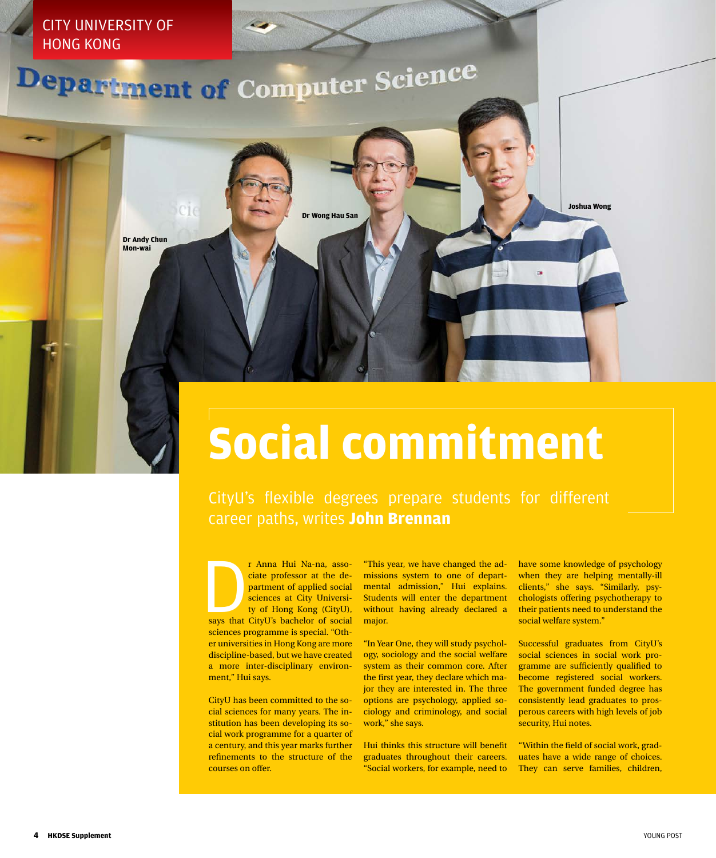

## **Social commitment**

CityU's flexible degrees prepare students for different career paths, writes **John Brennan**

r Anna Hui Na-na, associate professor at the department of applied social sciences at City University of Hong Kong (CityU), says that CityU's bachelor of social ciate professor at the department of applied social sciences at City University of Hong Kong (CityU), sciences programme is special. "Other universities in Hong Kong are more discipline-based, but we have created a more inter-disciplinary environment," Hui says.

CityU has been committed to the social sciences for many years. The institution has been developing its social work programme for a quarter of a century, and this year marks further refinements to the structure of the courses on offer.

"This year, we have changed the admissions system to one of departmental admission," Hui explains. Students will enter the department without having already declared a major.

"In Year One, they will study psychology, sociology and the social welfare system as their common core. After the first year, they declare which major they are interested in. The three options are psychology, applied sociology and criminology, and social work," she says.

Hui thinks this structure will benefit graduates throughout their careers. "Social workers, for example, need to have some knowledge of psychology when they are helping mentally-ill clients," she says. "Similarly, psychologists offering psychotherapy to their patients need to understand the social welfare system."

Successful graduates from CityU's social sciences in social work programme are sufficiently qualified to become registered social workers. The government funded degree has consistently lead graduates to prosperous careers with high levels of job security, Hui notes.

"Within the field of social work, graduates have a wide range of choices. They can serve families, children,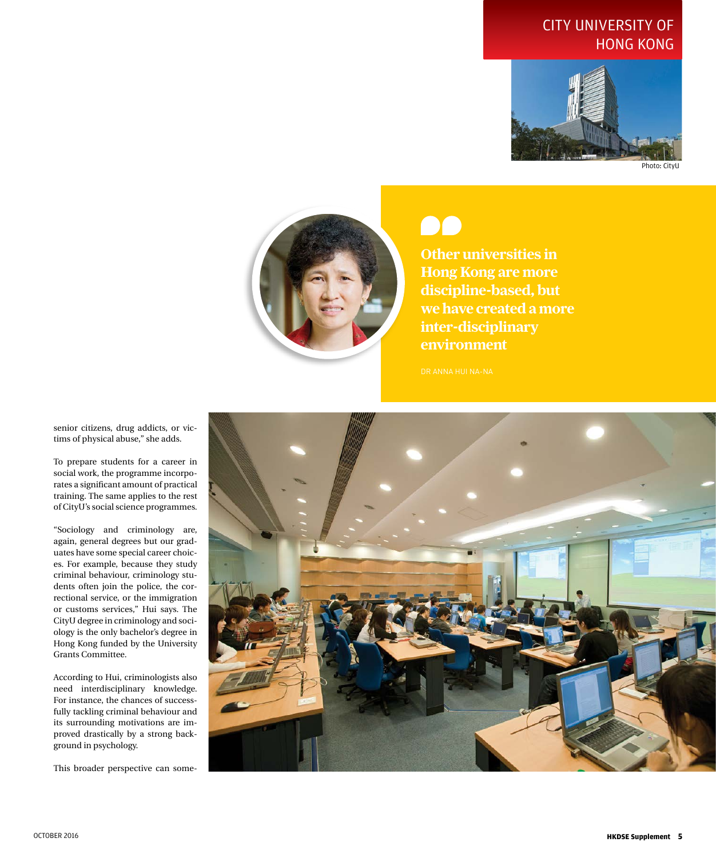## CITY UNIVERSITY OF HONG KONG



Photo: CityU



**Other universities in Hong Kong are more discipline-based, but we have created a more inter-disciplinary environment**

senior citizens, drug addicts, or victims of physical abuse," she adds.

To prepare students for a career in social work, the programme incorporates a significant amount of practical training. The same applies to the rest of CityU's social science programmes.

"Sociology and criminology are, again, general degrees but our graduates have some special career choices. For example, because they study criminal behaviour, criminology students often join the police, the correctional service, or the immigration or customs services," Hui says. The CityU degree in criminology and sociology is the only bachelor's degree in Hong Kong funded by the University Grants Committee.

According to Hui, criminologists also need interdisciplinary knowledge. For instance, the chances of successfully tackling criminal behaviour and its surrounding motivations are improved drastically by a strong background in psychology.

This broader perspective can some-

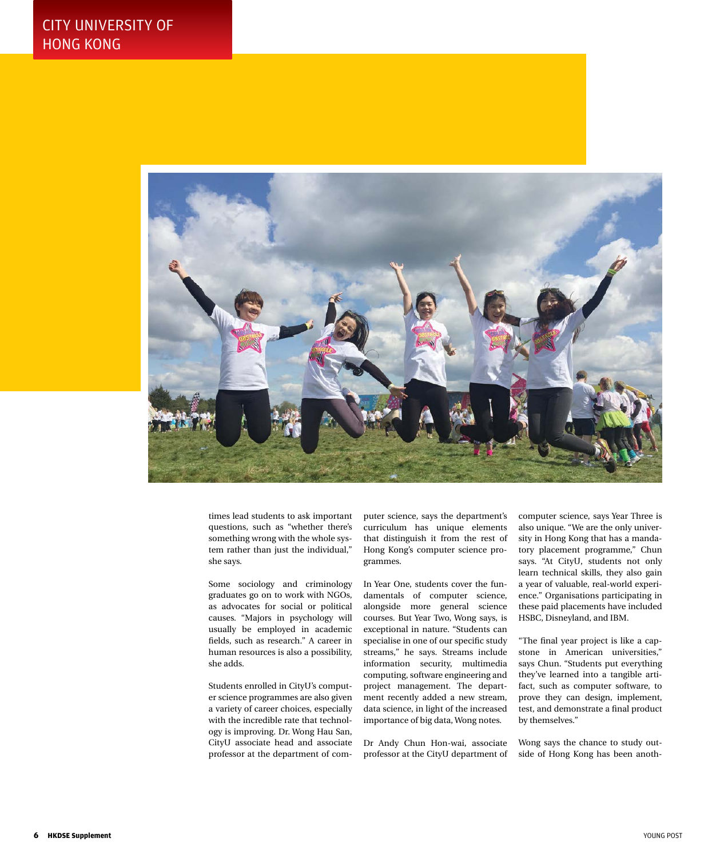

times lead students to ask important questions, such as "whether there's something wrong with the whole system rather than just the individual," she says.

Some sociology and criminology graduates go on to work with NGOs, as advocates for social or political causes. "Majors in psychology will usually be employed in academic fields, such as research." A career in human resources is also a possibility, she adds.

Students enrolled in CityU's computer science programmes are also given a variety of career choices, especially with the incredible rate that technology is improving. Dr. Wong Hau San, CityU associate head and associate professor at the department of computer science, says the department's curriculum has unique elements that distinguish it from the rest of Hong Kong's computer science programmes.

In Year One, students cover the fundamentals of computer science, alongside more general science courses. But Year Two, Wong says, is exceptional in nature. "Students can specialise in one of our specific study streams," he says. Streams include information security, multimedia computing, software engineering and project management. The department recently added a new stream, data science, in light of the increased importance of big data, Wong notes.

Dr Andy Chun Hon-wai, associate professor at the CityU department of computer science, says Year Three is also unique. "We are the only university in Hong Kong that has a mandatory placement programme," Chun says. "At CityU, students not only learn technical skills, they also gain a year of valuable, real-world experience." Organisations participating in these paid placements have included HSBC, Disneyland, and IBM.

"The final year project is like a capstone in American universities," says Chun. "Students put everything they've learned into a tangible artifact, such as computer software, to prove they can design, implement, test, and demonstrate a final product by themselves."

Wong says the chance to study outside of Hong Kong has been anoth-